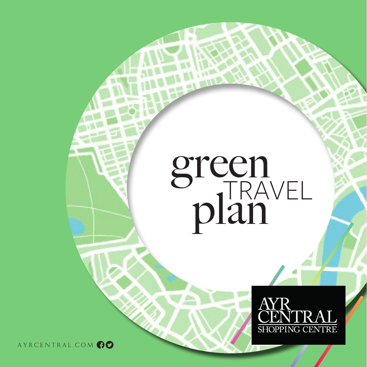# green plan



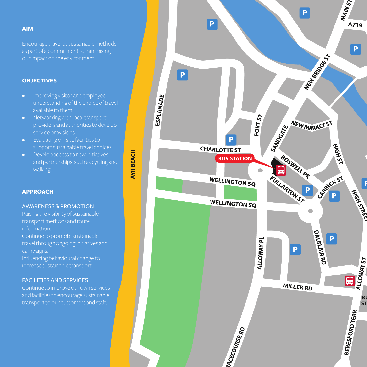# **AIM**

Encourage travel by sustainable methods our impact on the environment.

#### **OBJECTIVES**

- Improving visitor and employee understanding of the choice of travel available to them.
- Networking with local transport providers and authorities to develop service provisions.
- Evaluating on-site facilities to support sustainable travel choices.
- Develop access to new initiatives and partnerships, such as cycling and walking.

#### **APPROACH**

#### AWARENESS & PROMOTION

Raising the visibility of sustainable information. Continue to promote sustainable campaigns. Influencing behavioural change to

increase sustainable transport.

#### FACILITIES AND SERVICES

and facilities to encourage sustainable

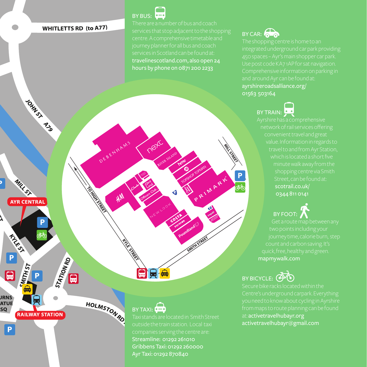# **WHITLETTS RD (to A77)**

DEBENHAMS

My

TO HELD OF

HOLMSTONED

BY BUS:

neitc

travelinescotland.com, also open 24 hours by phone on 0871 200 2233

PRIMARY

# BY CAR:  $\bigodot$

ayrshireroadsalliance.org/ 01563 503164

BY TRAIN:

BY FOOT:

mapmywalk.com

BY BICYCLE: **400** 

at: activetravelhubayr.org activetravelhubayr@gmail.com



**RAILWAY STATION** 

STATIONAD

日

 $\boxed{\mathsf{P}}$ 

 $\blacksquare$ 

**JRNS ATUE** SQ

**CANTIN ST** 

JOHN ST A 3

# $BY$  TAXI:  $0 = 0$

 $\blacksquare$ 

`⊟∤<del>⊖</del>

Streamline: 01292 261010 Gribbens Taxi: 01292 260000 Ayr Taxi: 01292 870840